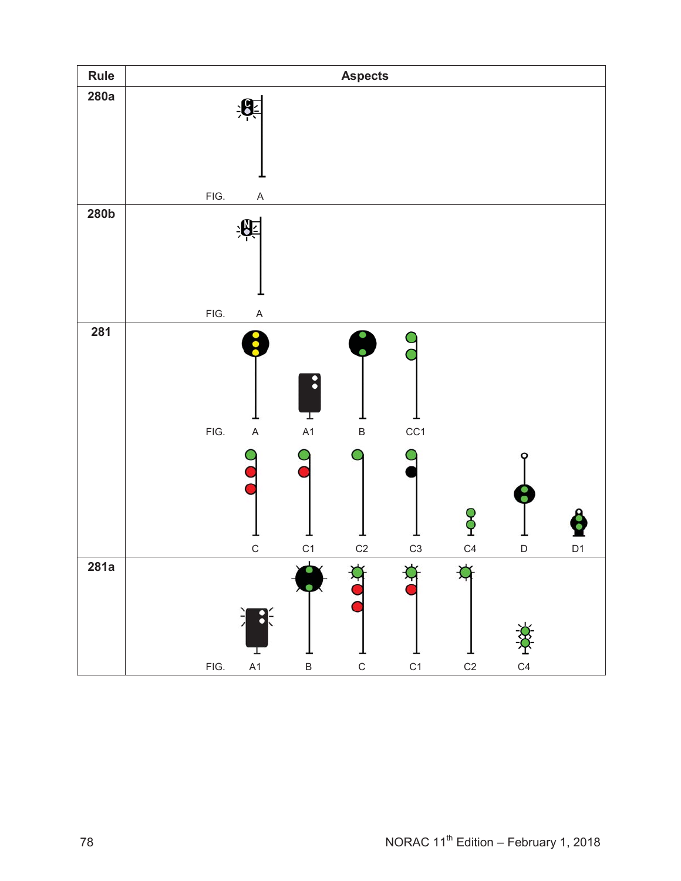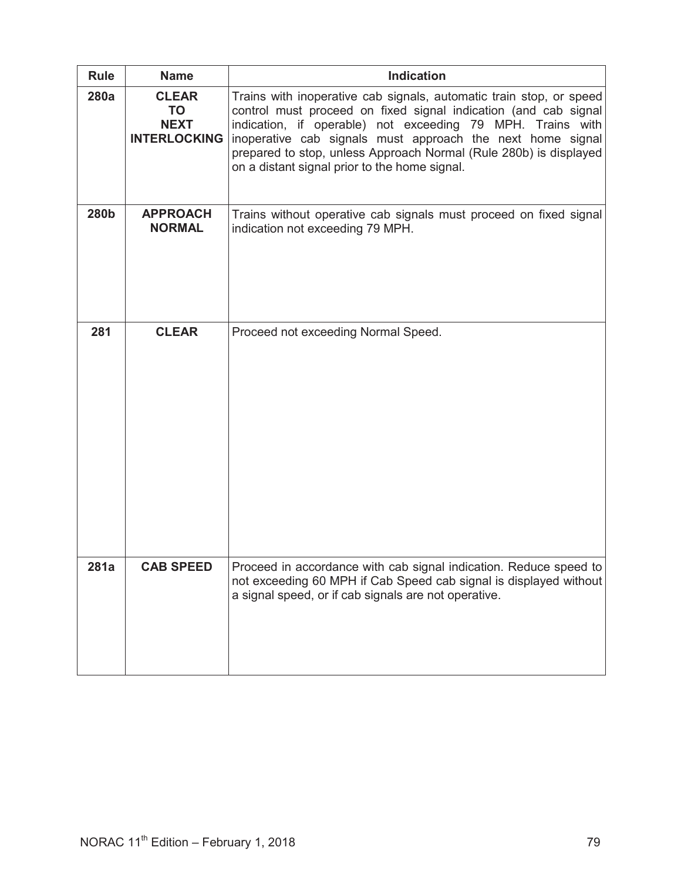| <b>Rule</b> | <b>Name</b>                                                     | <b>Indication</b>                                                                                                                                                                                                                                                                                                                                                                        |
|-------------|-----------------------------------------------------------------|------------------------------------------------------------------------------------------------------------------------------------------------------------------------------------------------------------------------------------------------------------------------------------------------------------------------------------------------------------------------------------------|
| 280a        | <b>CLEAR</b><br><b>TO</b><br><b>NEXT</b><br><b>INTERLOCKING</b> | Trains with inoperative cab signals, automatic train stop, or speed<br>control must proceed on fixed signal indication (and cab signal<br>indication, if operable) not exceeding 79 MPH. Trains with<br>inoperative cab signals must approach the next home signal<br>prepared to stop, unless Approach Normal (Rule 280b) is displayed<br>on a distant signal prior to the home signal. |
| 280b        | <b>APPROACH</b><br><b>NORMAL</b>                                | Trains without operative cab signals must proceed on fixed signal<br>indication not exceeding 79 MPH.                                                                                                                                                                                                                                                                                    |
| 281         | <b>CLEAR</b>                                                    | Proceed not exceeding Normal Speed.                                                                                                                                                                                                                                                                                                                                                      |
| 281a        | <b>CAB SPEED</b>                                                | Proceed in accordance with cab signal indication. Reduce speed to<br>not exceeding 60 MPH if Cab Speed cab signal is displayed without<br>a signal speed, or if cab signals are not operative.                                                                                                                                                                                           |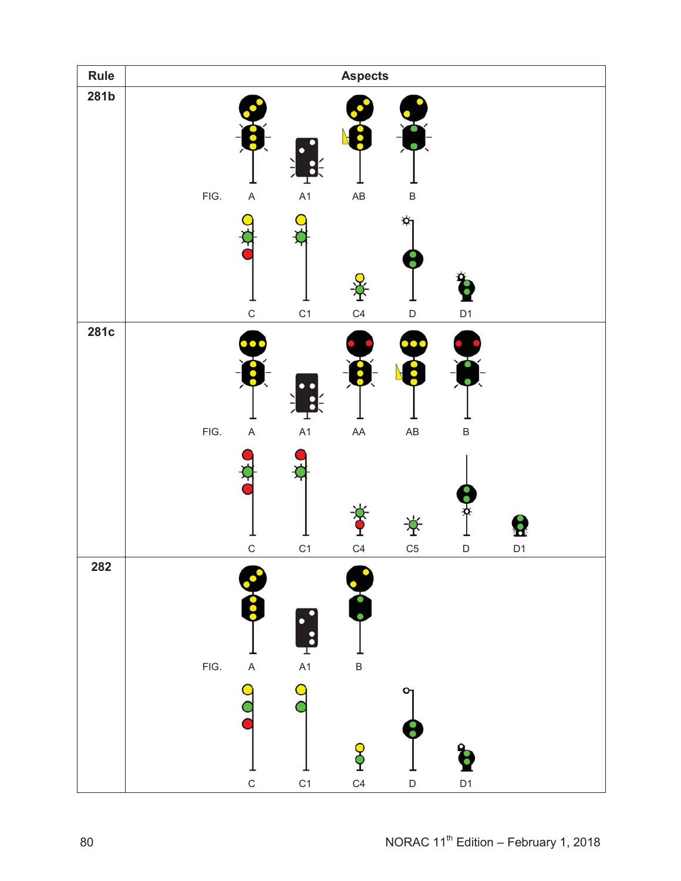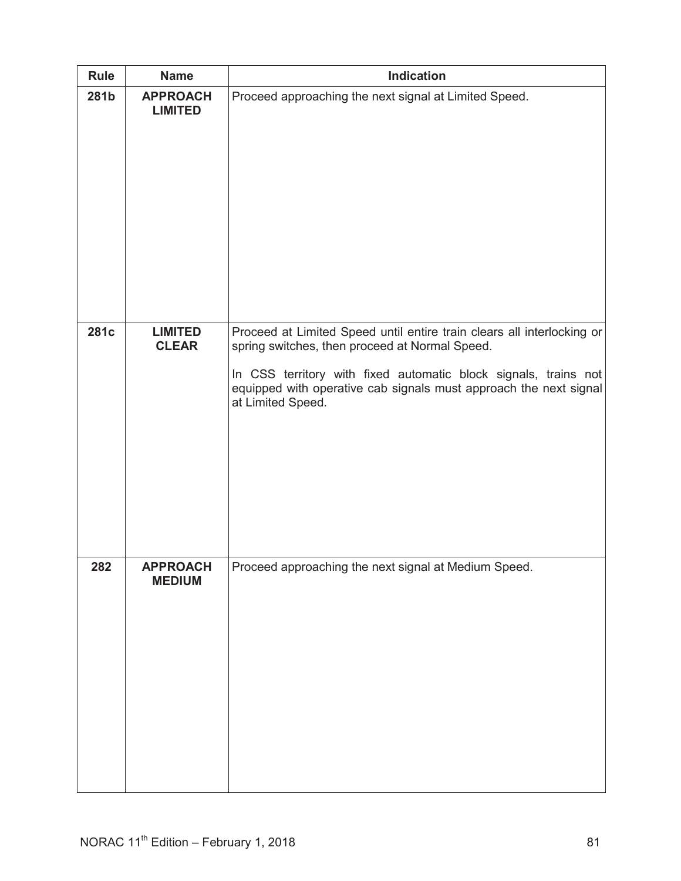| <b>Rule</b> | <b>Name</b>                       | <b>Indication</b>                                                                                                                                                                                                                                                                     |
|-------------|-----------------------------------|---------------------------------------------------------------------------------------------------------------------------------------------------------------------------------------------------------------------------------------------------------------------------------------|
| 281b        | <b>APPROACH</b><br><b>LIMITED</b> | Proceed approaching the next signal at Limited Speed.                                                                                                                                                                                                                                 |
| 281c        | <b>LIMITED</b><br><b>CLEAR</b>    | Proceed at Limited Speed until entire train clears all interlocking or<br>spring switches, then proceed at Normal Speed.<br>In CSS territory with fixed automatic block signals, trains not<br>equipped with operative cab signals must approach the next signal<br>at Limited Speed. |
| 282         | <b>APPROACH</b><br><b>MEDIUM</b>  | Proceed approaching the next signal at Medium Speed.                                                                                                                                                                                                                                  |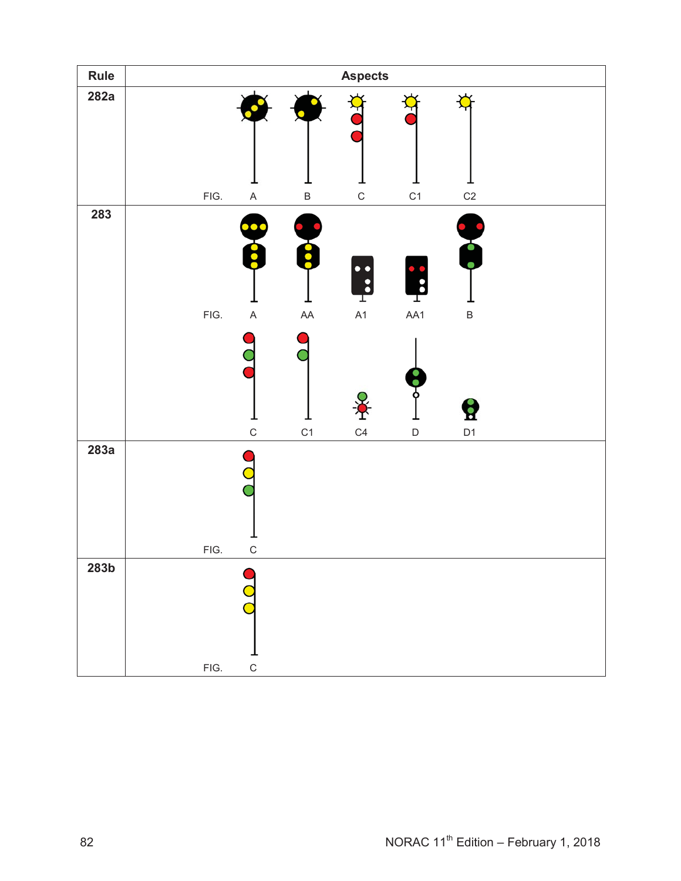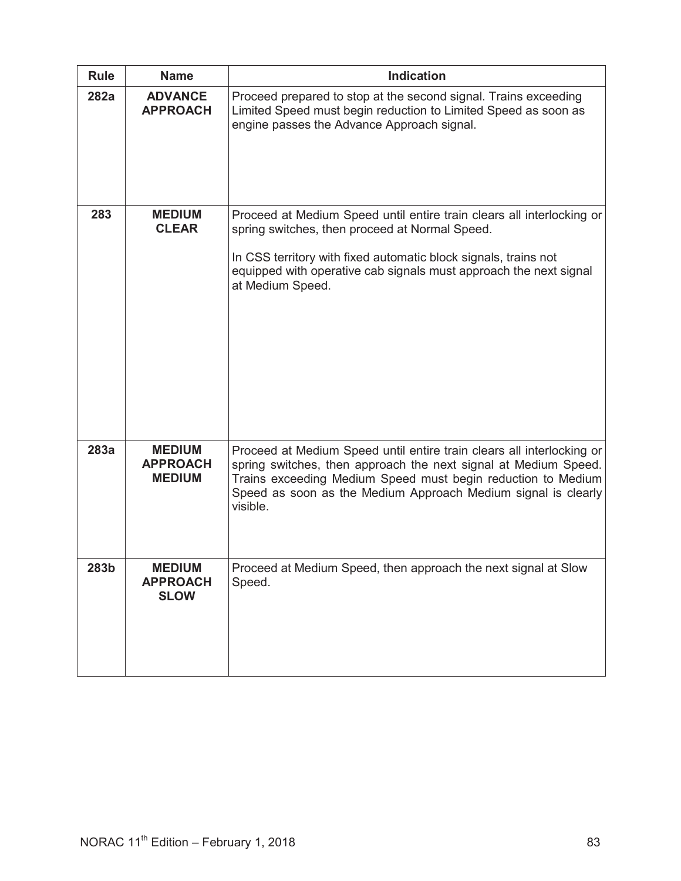| <b>Rule</b> | <b>Name</b>                                       | <b>Indication</b>                                                                                                                                                                                                                                                                     |
|-------------|---------------------------------------------------|---------------------------------------------------------------------------------------------------------------------------------------------------------------------------------------------------------------------------------------------------------------------------------------|
| 282a        | <b>ADVANCE</b><br><b>APPROACH</b>                 | Proceed prepared to stop at the second signal. Trains exceeding<br>Limited Speed must begin reduction to Limited Speed as soon as<br>engine passes the Advance Approach signal.                                                                                                       |
| 283         | <b>MEDIUM</b><br><b>CLEAR</b>                     | Proceed at Medium Speed until entire train clears all interlocking or<br>spring switches, then proceed at Normal Speed.<br>In CSS territory with fixed automatic block signals, trains not<br>equipped with operative cab signals must approach the next signal<br>at Medium Speed.   |
| 283a        | <b>MEDIUM</b><br><b>APPROACH</b><br><b>MEDIUM</b> | Proceed at Medium Speed until entire train clears all interlocking or<br>spring switches, then approach the next signal at Medium Speed.<br>Trains exceeding Medium Speed must begin reduction to Medium<br>Speed as soon as the Medium Approach Medium signal is clearly<br>visible. |
| 283b        | <b>MEDIUM</b><br><b>APPROACH</b><br><b>SLOW</b>   | Proceed at Medium Speed, then approach the next signal at Slow<br>Speed.                                                                                                                                                                                                              |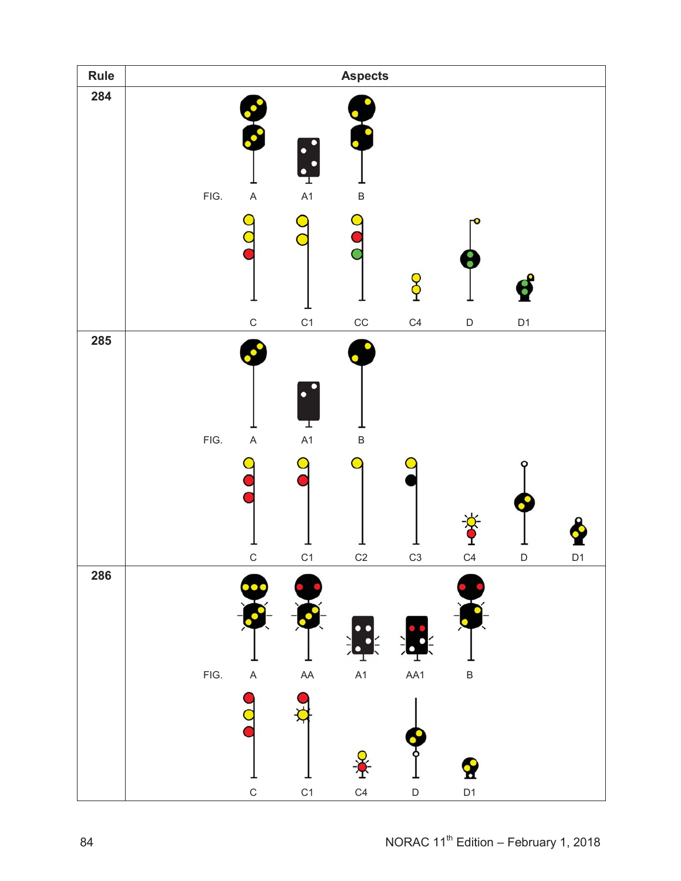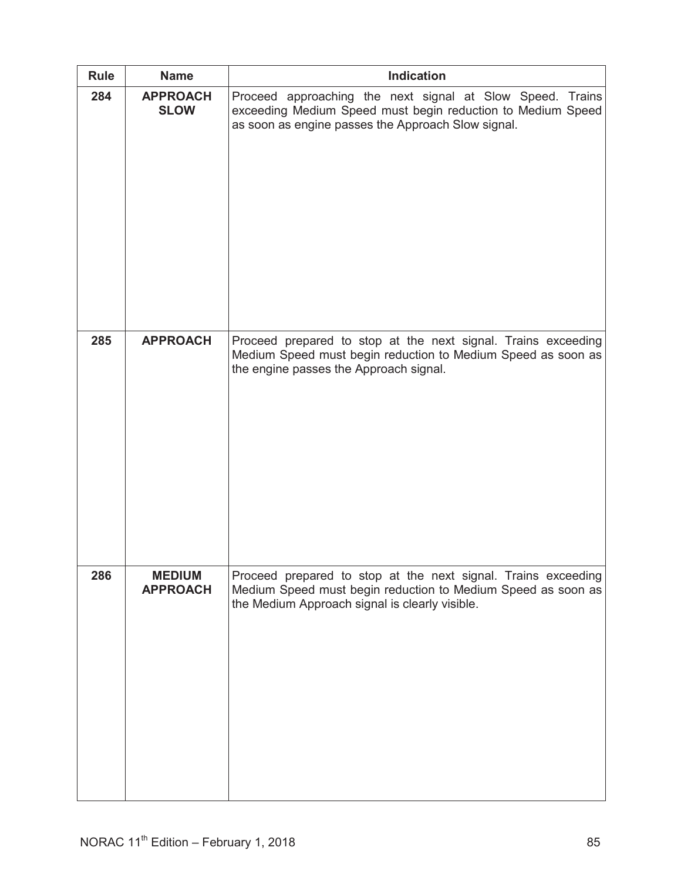| Rule | <b>Name</b>                      | <b>Indication</b>                                                                                                                                                               |
|------|----------------------------------|---------------------------------------------------------------------------------------------------------------------------------------------------------------------------------|
| 284  | <b>APPROACH</b><br><b>SLOW</b>   | Proceed approaching the next signal at Slow Speed. Trains<br>exceeding Medium Speed must begin reduction to Medium Speed<br>as soon as engine passes the Approach Slow signal.  |
| 285  | <b>APPROACH</b>                  | Proceed prepared to stop at the next signal. Trains exceeding<br>Medium Speed must begin reduction to Medium Speed as soon as<br>the engine passes the Approach signal.         |
| 286  | <b>MEDIUM</b><br><b>APPROACH</b> | Proceed prepared to stop at the next signal. Trains exceeding<br>Medium Speed must begin reduction to Medium Speed as soon as<br>the Medium Approach signal is clearly visible. |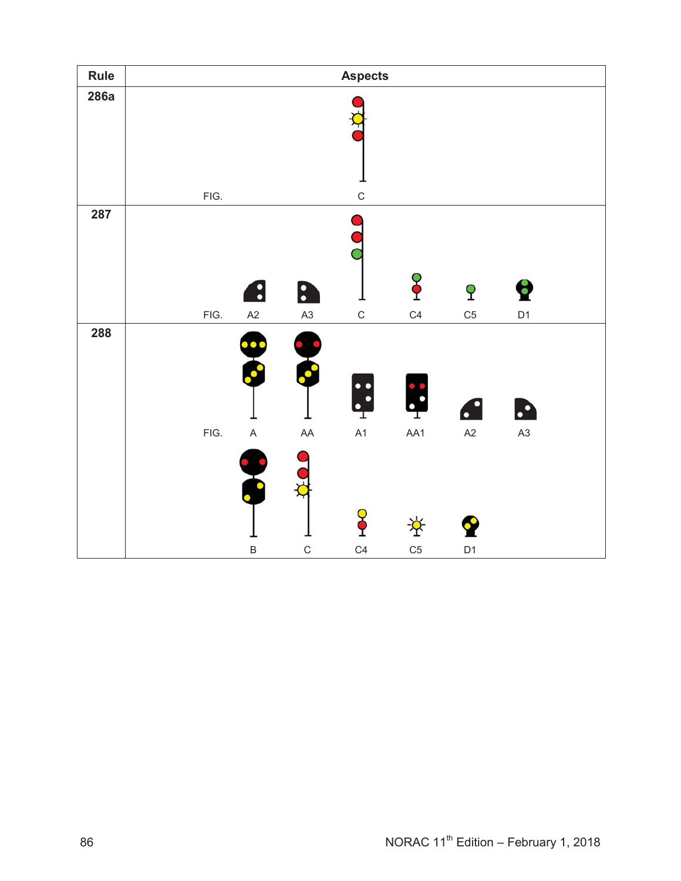| Rule |      |                          |               | <b>Aspects</b>            |                     |                     |                     |  |
|------|------|--------------------------|---------------|---------------------------|---------------------|---------------------|---------------------|--|
| 286a | FIG. |                          |               | $\mathsf C$               |                     |                     |                     |  |
| 287  | FIG. | $\bullet$<br>A2          | 8<br>A3       | $\mathsf C$               | န္<br>C4            | P<br>C <sub>5</sub> | b<br>D <sub>1</sub> |  |
| 288  | FIG. | $\bullet$<br>$\mathsf A$ | $\cdot$<br>AA | $\ddot{\cdot}$<br>┰<br>A1 | T<br>AA1            | $\bullet$<br>A2     | $\mathbf{L}$<br>A3  |  |
|      |      | $\sf B$                  | $\mathsf{C}$  | ĭ<br>C <sub>4</sub>       | 堂<br>C <sub>5</sub> | Y<br>D <sub>1</sub> |                     |  |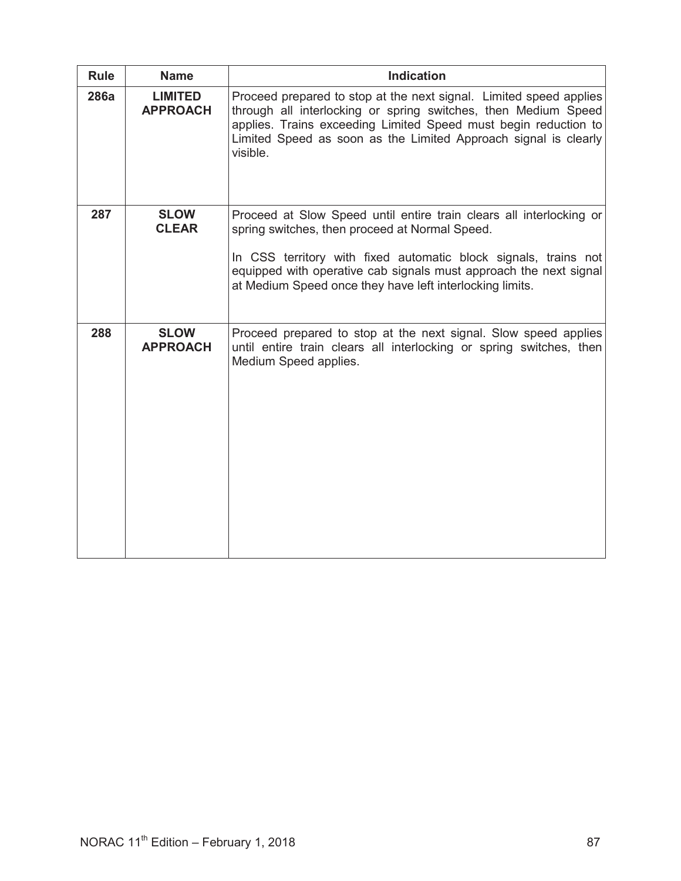| <b>Rule</b> | <b>Name</b>                       | <b>Indication</b>                                                                                                                                                                                                                                                                                                         |
|-------------|-----------------------------------|---------------------------------------------------------------------------------------------------------------------------------------------------------------------------------------------------------------------------------------------------------------------------------------------------------------------------|
| 286a        | <b>LIMITED</b><br><b>APPROACH</b> | Proceed prepared to stop at the next signal. Limited speed applies<br>through all interlocking or spring switches, then Medium Speed<br>applies. Trains exceeding Limited Speed must begin reduction to<br>Limited Speed as soon as the Limited Approach signal is clearly<br>visible.                                    |
| 287         | <b>SLOW</b><br><b>CLEAR</b>       | Proceed at Slow Speed until entire train clears all interlocking or<br>spring switches, then proceed at Normal Speed.<br>In CSS territory with fixed automatic block signals, trains not<br>equipped with operative cab signals must approach the next signal<br>at Medium Speed once they have left interlocking limits. |
| 288         | <b>SLOW</b><br><b>APPROACH</b>    | Proceed prepared to stop at the next signal. Slow speed applies<br>until entire train clears all interlocking or spring switches, then<br>Medium Speed applies.                                                                                                                                                           |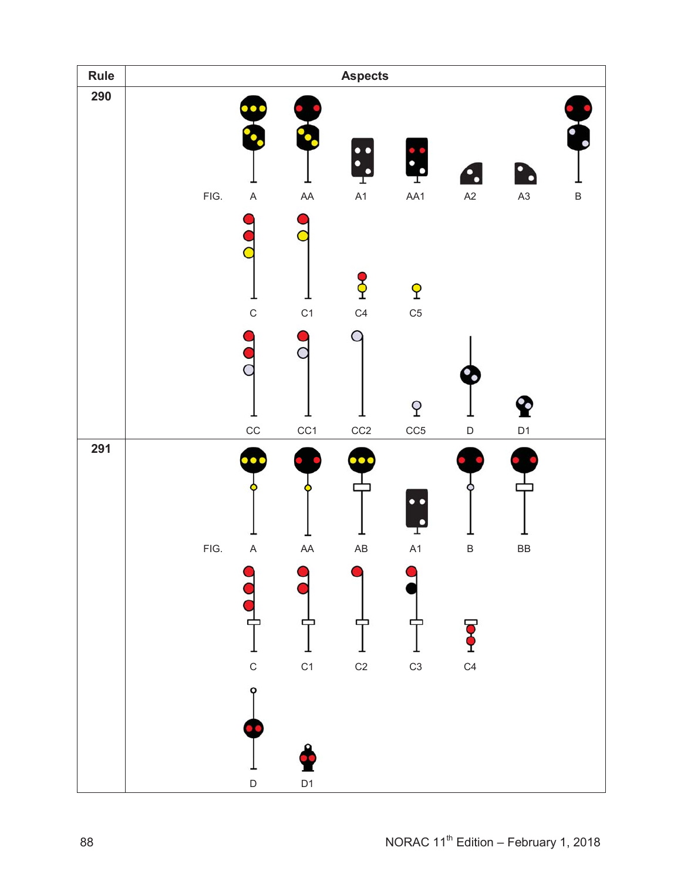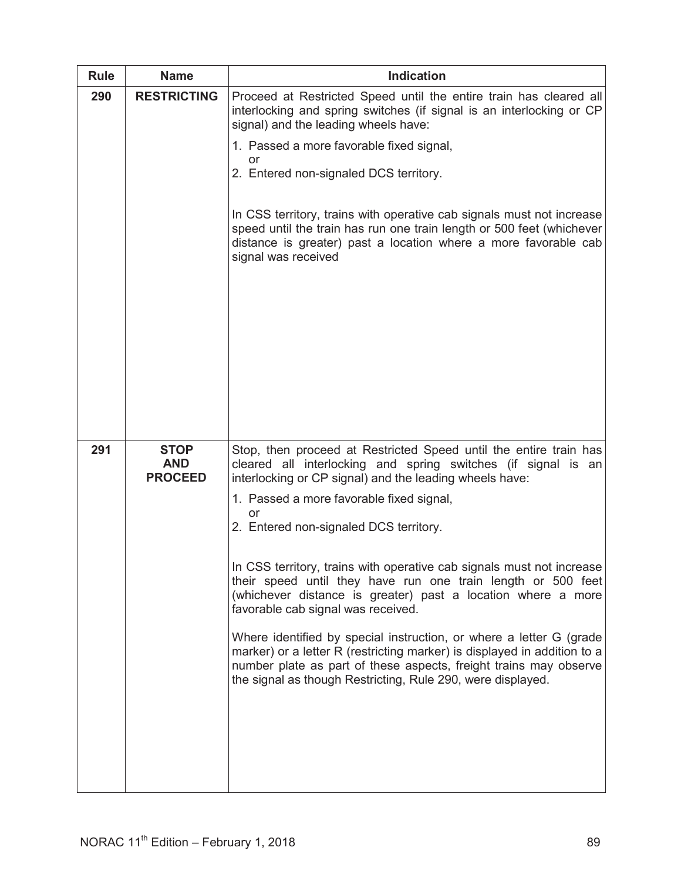| <b>Rule</b> | <b>Name</b>                                 | <b>Indication</b>                                                                                                                                                                                                                                                                                                                                                                                                                                                                                                                                                                                                                                                                                                                                                                                                               |
|-------------|---------------------------------------------|---------------------------------------------------------------------------------------------------------------------------------------------------------------------------------------------------------------------------------------------------------------------------------------------------------------------------------------------------------------------------------------------------------------------------------------------------------------------------------------------------------------------------------------------------------------------------------------------------------------------------------------------------------------------------------------------------------------------------------------------------------------------------------------------------------------------------------|
| 290         | <b>RESTRICTING</b>                          | Proceed at Restricted Speed until the entire train has cleared all<br>interlocking and spring switches (if signal is an interlocking or CP<br>signal) and the leading wheels have:<br>1. Passed a more favorable fixed signal,<br>or<br>2. Entered non-signaled DCS territory.<br>In CSS territory, trains with operative cab signals must not increase<br>speed until the train has run one train length or 500 feet (whichever<br>distance is greater) past a location where a more favorable cab<br>signal was received                                                                                                                                                                                                                                                                                                      |
| 291         | <b>STOP</b><br><b>AND</b><br><b>PROCEED</b> | Stop, then proceed at Restricted Speed until the entire train has<br>cleared all interlocking and spring switches (if signal is an<br>interlocking or CP signal) and the leading wheels have:<br>1. Passed a more favorable fixed signal,<br>or<br>2. Entered non-signaled DCS territory.<br>In CSS territory, trains with operative cab signals must not increase<br>their speed until they have run one train length or 500 feet<br>(whichever distance is greater) past a location where a more<br>favorable cab signal was received.<br>Where identified by special instruction, or where a letter G (grade<br>marker) or a letter R (restricting marker) is displayed in addition to a<br>number plate as part of these aspects, freight trains may observe<br>the signal as though Restricting, Rule 290, were displayed. |